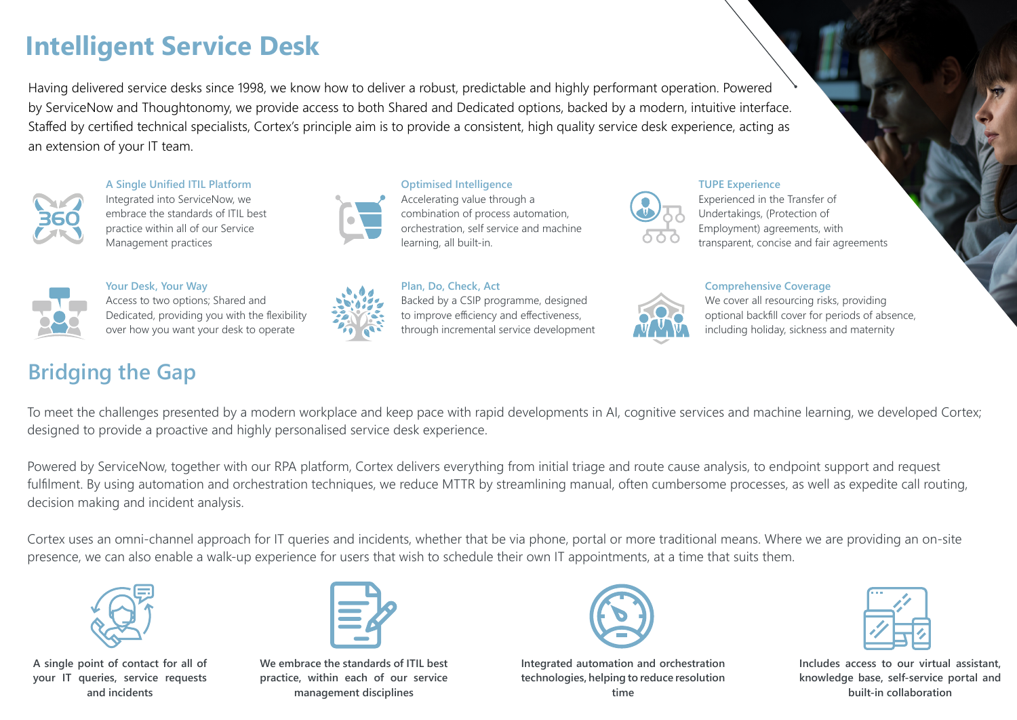# **Intelligent Service Desk**

Having delivered service desks since 1998, we know how to deliver a robust, predictable and highly performant operation. Powered by ServiceNow and Thoughtonomy, we provide access to both Shared and Dedicated options, backed by a modern, intuitive interface. Staffed by certified technical specialists, Cortex's principle aim is to provide a consistent, high quality service desk experience, acting as an extension of your IT team.



**A Single Unified ITIL Platform**

Integrated into ServiceNow, we embrace the standards of ITIL best practice within all of our Service Management practices



**Optimised Intelligence** Accelerating value through a combination of process automation, orchestration, self service and machine learning, all built-in.



#### **TUPE Experience**

Experienced in the Transfer of Undertakings, (Protection of Employment) agreements, with transparent, concise and fair agreements



**Your Desk, Your Way** Access to two options; Shared and Dedicated, providing you with the flexibility over how you want your desk to operate

## **Bridging the Gap**



**Plan, Do, Check, Act** Backed by a CSIP programme, designed to improve efficiency and effectiveness, through incremental service development

### **Comprehensive Coverage**



We cover all resourcing risks, providing optional backfill cover for periods of absence, including holiday, sickness and maternity

To meet the challenges presented by a modern workplace and keep pace with rapid developments in AI, cognitive services and machine learning, we developed Cortex; designed to provide a proactive and highly personalised service desk experience.

Powered by ServiceNow, together with our RPA platform, Cortex delivers everything from initial triage and route cause analysis, to endpoint support and request fulfilment. By using automation and orchestration techniques, we reduce MTTR by streamlining manual, often cumbersome processes, as well as expedite call routing, decision making and incident analysis.

Cortex uses an omni-channel approach for IT queries and incidents, whether that be via phone, portal or more traditional means. Where we are providing an on-site presence, we can also enable a walk-up experience for users that wish to schedule their own IT appointments, at a time that suits them.



**A single point of contact for all of your IT queries, service requests and incidents**



**We embrace the standards of ITIL best practice, within each of our service management disciplines**



**Integrated automation and orchestration technologies, helping to reduce resolution time**



**Includes access to our virtual assistant, knowledge base, self-service portal and built-in collaboration**